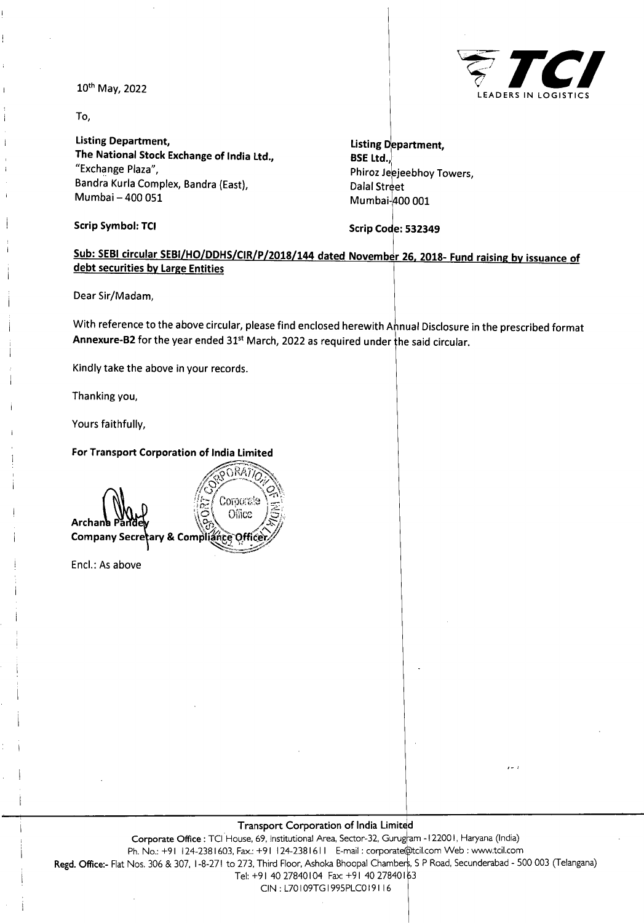

**<sup>I</sup>** 10th May, 2022

To,

**Listing Department, The National Stock Exchange of India Ltd.,** "Exchange Plaza", Bandra Kurla Complex, Bandra (East), Mumbai-400 051

**Scrip Symbol: TCI Scrip Code: 532349**

**Listing Department, BSE Ltd.,** Phiroz Jeejeebhoy Towers, Dalal Street Mumbai-^00 001

# **<sup>i</sup> Sub: SEBI circular SEBI/HQ/DDHS/CIR/P/2018/144 dated November 26. 2018- Fund raising bv issuance of debt securities bv Large Entities**

Dear Sir/Madam,

With reference to the above circular, please find enclosed herewith Annual Disclosure in the prescribed format Annexure-B2 for the year ended 31<sup>st</sup> March, 2022 as required under the said circular.

Kindly take the above in your records.

Thanking you,

**i**

**i**

!

Yours faithfully,

### **For Transport Corporation of India Limited**

RA7 Corporate Office **Archana Company Secretary & Compliah**

Enel.: As above

#### **Transport Corporation of India Limited**

Corporate Office : TCI House, 69, Institutional Area, Sector-32, Gurugram -122001, Haryana (India) Ph. No.: +91 124-2381603, Fax.: +91 124-2381611 E-mail: corporate@tcil.com Web : [www.tcil.com](http://www.tcil.com) **Regd. Office:-** Flat Nos. 306 & 307, 1-8-271 to 273, Third Floor, Ashoka Bhoopal Chamber;, <sup>S</sup> P Road, Secunderabad - 500 003 (Telangana) Tel: +91 40 27840104 Fax: +91 40 27840163 CIN : L70109TG1995PLC0191 <sup>16</sup>